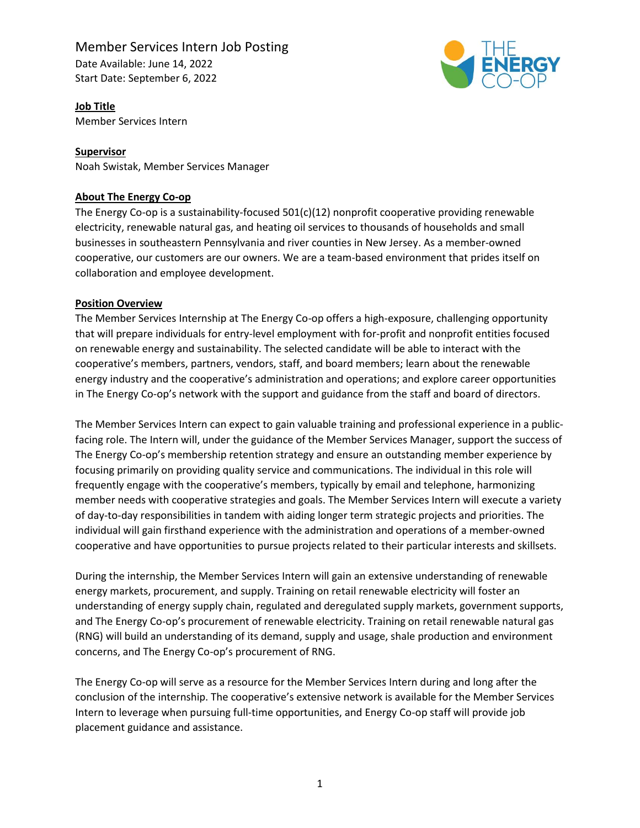# Member Services Intern Job Posting

Date Available: June 14, 2022 Start Date: September 6, 2022



**Job Title** Member Services Intern

# **Supervisor**

Noah Swistak, Member Services Manager

# **About The Energy Co-op**

The Energy Co-op is a sustainability-focused 501(c)(12) nonprofit cooperative providing renewable electricity, renewable natural gas, and heating oil services to thousands of households and small businesses in southeastern Pennsylvania and river counties in New Jersey. As a member-owned cooperative, our customers are our owners. We are a team-based environment that prides itself on collaboration and employee development.

# **Position Overview**

The Member Services Internship at The Energy Co-op offers a high-exposure, challenging opportunity that will prepare individuals for entry-level employment with for-profit and nonprofit entities focused on renewable energy and sustainability. The selected candidate will be able to interact with the cooperative's members, partners, vendors, staff, and board members; learn about the renewable energy industry and the cooperative's administration and operations; and explore career opportunities in The Energy Co-op's network with the support and guidance from the staff and board of directors.

The Member Services Intern can expect to gain valuable training and professional experience in a publicfacing role. The Intern will, under the guidance of the Member Services Manager, support the success of The Energy Co-op's membership retention strategy and ensure an outstanding member experience by focusing primarily on providing quality service and communications. The individual in this role will frequently engage with the cooperative's members, typically by email and telephone, harmonizing member needs with cooperative strategies and goals. The Member Services Intern will execute a variety of day-to-day responsibilities in tandem with aiding longer term strategic projects and priorities. The individual will gain firsthand experience with the administration and operations of a member-owned cooperative and have opportunities to pursue projects related to their particular interests and skillsets.

During the internship, the Member Services Intern will gain an extensive understanding of renewable energy markets, procurement, and supply. Training on retail renewable electricity will foster an understanding of energy supply chain, regulated and deregulated supply markets, government supports, and The Energy Co-op's procurement of renewable electricity. Training on retail renewable natural gas (RNG) will build an understanding of its demand, supply and usage, shale production and environment concerns, and The Energy Co-op's procurement of RNG.

The Energy Co-op will serve as a resource for the Member Services Intern during and long after the conclusion of the internship. The cooperative's extensive network is available for the Member Services Intern to leverage when pursuing full-time opportunities, and Energy Co-op staff will provide job placement guidance and assistance.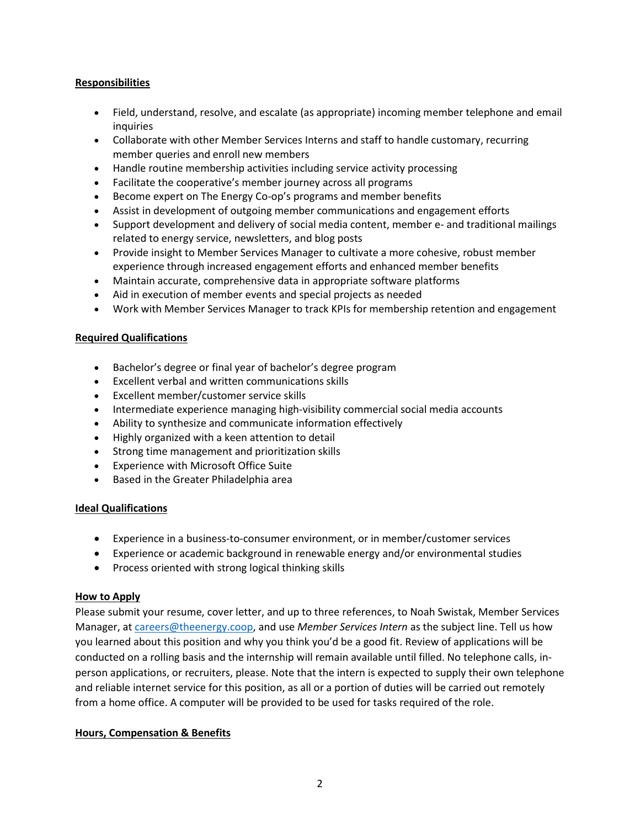# **Responsibilities**

- Field, understand, resolve, and escalate (as appropriate) incoming member telephone and email inquiries
- Collaborate with other Member Services Interns and staff to handle customary, recurring member queries and enroll new members
- Handle routine membership activities including service activity processing
- Facilitate the cooperative's member journey across all programs
- Become expert on The Energy Co-op's programs and member benefits
- Assist in development of outgoing member communications and engagement efforts
- Support development and delivery of social media content, member e- and traditional mailings related to energy service, newsletters, and blog posts
- Provide insight to Member Services Manager to cultivate a more cohesive, robust member experience through increased engagement efforts and enhanced member benefits
- Maintain accurate, comprehensive data in appropriate software platforms
- Aid in execution of member events and special projects as needed
- Work with Member Services Manager to track KPIs for membership retention and engagement

#### **Required Qualifications**

- Bachelor's degree or final year of bachelor's degree program
- Excellent verbal and written communications skills
- Excellent member/customer service skills
- Intermediate experience managing high-visibility commercial social media accounts
- Ability to synthesize and communicate information effectively
- Highly organized with a keen attention to detail
- Strong time management and prioritization skills
- Experience with Microsoft Office Suite
- Based in the Greater Philadelphia area

#### **Ideal Qualifications**

- Experience in a business-to-consumer environment, or in member/customer services
- Experience or academic background in renewable energy and/or environmental studies
- Process oriented with strong logical thinking skills

#### **How to Apply**

Please submit your resume, cover letter, and up to three references, to Noah Swistak, Member Services Manager, at [careers@theenergy.coop,](mailto:operations@theenergy.coop) and use *Member Services Intern* as the subject line. Tell us how you learned about this position and why you think you'd be a good fit. Review of applications will be conducted on a rolling basis and the internship will remain available until filled. No telephone calls, inperson applications, or recruiters, please. Note that the intern is expected to supply their own telephone and reliable internet service for this position, as all or a portion of duties will be carried out remotely from a home office. A computer will be provided to be used for tasks required of the role.

#### **Hours, Compensation & Benefits**